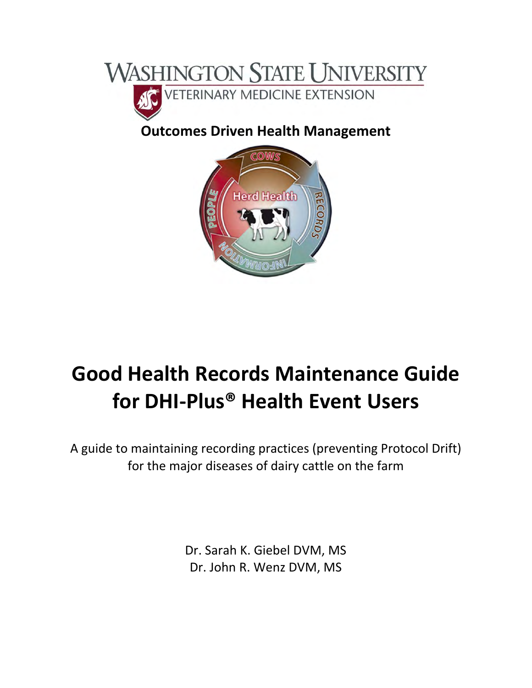

## **Outcomes Driven Health Management**



# **Good Health Records Maintenance Guide for DHI‐Plus® Health Event Users**

A guide to maintaining recording practices (preventing Protocol Drift) for the major diseases of dairy cattle on the farm

> Dr. Sarah K. Giebel DVM, MS Dr. John R. Wenz DVM, MS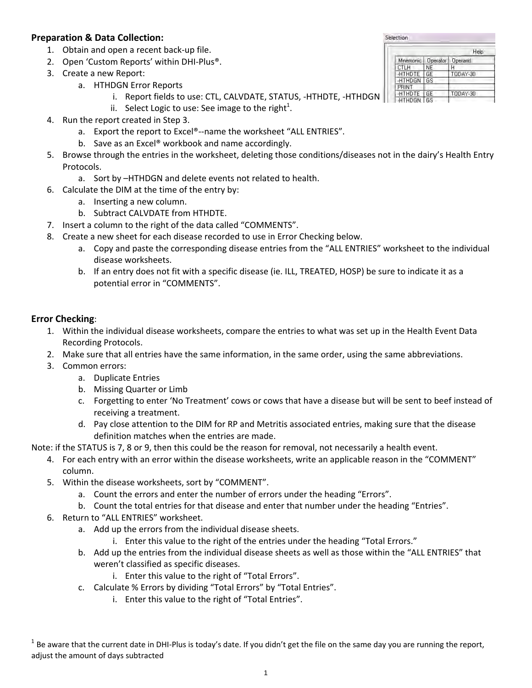#### **Preparation & Data Collection:**

- 1. Obtain and open a recent back‐up file.
- 2. Open 'Custom Reports' within DHI-Plus<sup>®</sup>.
- 3. Create a new Report:
	- a. HTHDGN Error Reports
		- i. Report fields to use: CTL, CALVDATE, STATUS, -HTHDTE, -HTHDGN
		- ii. Select Logic to use: See image to the right<sup>1</sup>.
- 4. Run the report created in Step 3.
	- a. Export the report to Excel®--name the worksheet "ALL ENTRIES".
	- b. Save as an Excel® workbook and name accordingly.
- 5. Browse through the entries in the worksheet, deleting those conditions/diseases not in the dairy's Health Entry Protocols.
	- a. Sort by –HTHDGN and delete events not related to health.
- 6. Calculate the DIM at the time of the entry by:
	- a. Inserting a new column.
	- b. Subtract CALVDATE from HTHDTE.
- 7. Insert a column to the right of the data called "COMMENTS".
- 8. Create a new sheet for each disease recorded to use in Error Checking below.
	- a. Copy and paste the corresponding disease entries from the "ALL ENTRIES" worksheet to the individual disease worksheets.
	- b. If an entry does not fit with a specific disease (ie. ILL, TREATED, HOSP) be sure to indicate it as a potential error in "COMMENTS".

#### **Error Checking**:

- 1. Within the individual disease worksheets, compare the entries to what was set up in the Health Event Data Recording Protocols.
- 2. Make sure that all entries have the same information, in the same order, using the same abbreviations.
- 3. Common errors:
	- a. Duplicate Entries
	- b. Missing Quarter or Limb
	- c. Forgetting to enter 'No Treatment' cows or cows that have a disease but will be sent to beef instead of receiving a treatment.
	- d. Pay close attention to the DIM for RP and Metritis associated entries, making sure that the disease definition matches when the entries are made.

Note: if the STATUS is 7, 8 or 9, then this could be the reason for removal, not necessarily a health event.

- 4. For each entry with an error within the disease worksheets, write an applicable reason in the "COMMENT" column.
- 5. Within the disease worksheets, sort by "COMMENT".
	- a. Count the errors and enter the number of errors under the heading "Errors".
	- b. Count the total entries for that disease and enter that number under the heading "Entries".
- 6. Return to "ALL ENTRIES" worksheet.
	- a. Add up the errors from the individual disease sheets.
		- i. Enter this value to the right of the entries under the heading "Total Errors."
	- b. Add up the entries from the individual disease sheets as well as those within the "ALL ENTRIES" that weren't classified as specific diseases.
		- i. Enter this value to the right of "Total Errors".
	- c. Calculate % Errors by dividing "Total Errors" by "Total Entries".
		- i. Enter this value to the right of "Total Entries".

 $1$  Be aware that the current date in DHI-Plus is today's date. If you didn't get the file on the same day you are running the report, adjust the amount of days subtracted

|               |          | Help           |
|---------------|----------|----------------|
| Mnemonic.     | Operator | <b>Operand</b> |
| CTLH          | NE       | Н              |
| <b>HTHDTE</b> | GE       | TODAY-30       |
| -HTHDGN       | GS       |                |
| PRINT         |          |                |
| <b>HTHDTE</b> | GF       | T0DAY-30       |
| <b>HTHDGN</b> | GS       |                |

Selection